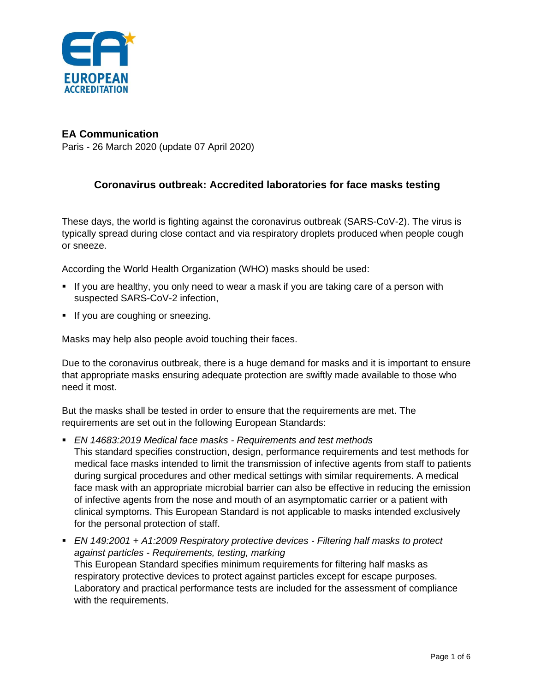

## **EA Communication**

Paris - 26 March 2020 (update 07 April 2020)

## **Coronavirus outbreak: Accredited laboratories for face masks testing**

These days, the world is fighting against the coronavirus outbreak (SARS-CoV-2). The virus is typically spread during close contact and via respiratory droplets produced when people cough or sneeze.

According the World Health Organization (WHO) masks should be used:

- **.** If you are healthy, you only need to wear a mask if you are taking care of a person with suspected SARS-CoV-2 infection,
- **•** If you are coughing or sneezing.

Masks may help also people avoid touching their faces.

Due to the coronavirus outbreak, there is a huge demand for masks and it is important to ensure that appropriate masks ensuring adequate protection are swiftly made available to those who need it most.

But the masks shall be tested in order to ensure that the requirements are met. The requirements are set out in the following European Standards:

- *EN 14683:2019 Medical face masks Requirements and test methods* This standard specifies construction, design, performance requirements and test methods for medical face masks intended to limit the transmission of infective agents from staff to patients during surgical procedures and other medical settings with similar requirements. A medical face mask with an appropriate microbial barrier can also be effective in reducing the emission of infective agents from the nose and mouth of an asymptomatic carrier or a patient with clinical symptoms. This European Standard is not applicable to masks intended exclusively for the personal protection of staff.
- *EN 149:2001 + A1:2009 Respiratory protective devices - Filtering half masks to protect against particles - Requirements, testing, marking* This European Standard specifies minimum requirements for filtering half masks as respiratory protective devices to protect against particles except for escape purposes. Laboratory and practical performance tests are included for the assessment of compliance with the requirements.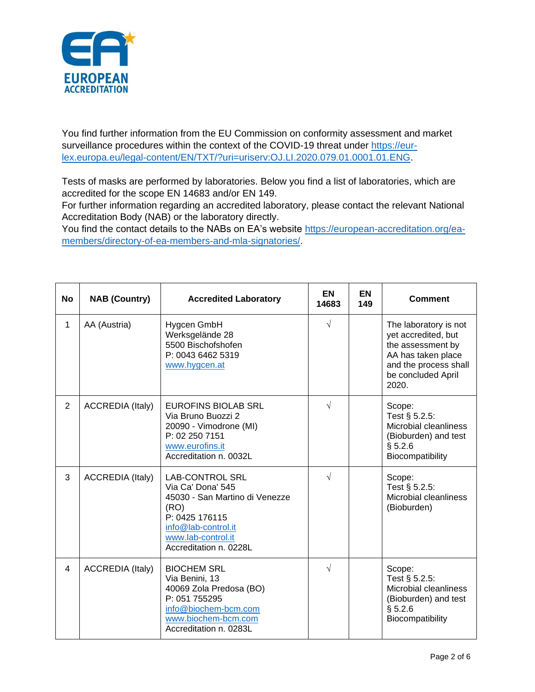

You find further information from the EU Commission on conformity assessment and market surveillance procedures within the context of the COVID-19 threat under [https://eur](https://eur-lex.europa.eu/legal-content/EN/TXT/?uri=uriserv:OJ.LI.2020.079.01.0001.01.ENG)[lex.europa.eu/legal-content/EN/TXT/?uri=uriserv:OJ.LI.2020.079.01.0001.01.ENG.](https://eur-lex.europa.eu/legal-content/EN/TXT/?uri=uriserv:OJ.LI.2020.079.01.0001.01.ENG)

Tests of masks are performed by laboratories. Below you find a list of laboratories, which are accredited for the scope EN 14683 and/or EN 149.

For further information regarding an accredited laboratory, please contact the relevant National Accreditation Body (NAB) or the laboratory directly.

You find the contact details to the NABs on EA's website [https://european-accreditation.org/ea](https://european-accreditation.org/ea-members/directory-of-ea-members-and-mla-signatories/)[members/directory-of-ea-members-and-mla-signatories/.](https://european-accreditation.org/ea-members/directory-of-ea-members-and-mla-signatories/)

| <b>No</b>      | <b>NAB (Country)</b>    | <b>Accredited Laboratory</b>                                                                                                                                                   | <b>EN</b><br>14683 | <b>EN</b><br>149 | <b>Comment</b>                                                                                                                                  |
|----------------|-------------------------|--------------------------------------------------------------------------------------------------------------------------------------------------------------------------------|--------------------|------------------|-------------------------------------------------------------------------------------------------------------------------------------------------|
| 1              | AA (Austria)            | Hygcen GmbH<br>Werksgelände 28<br>5500 Bischofshofen<br>P: 0043 6462 5319<br>www.hygcen.at                                                                                     | $\sqrt{}$          |                  | The laboratory is not<br>yet accredited, but<br>the assessment by<br>AA has taken place<br>and the process shall<br>be concluded April<br>2020. |
| $\overline{2}$ | <b>ACCREDIA (Italy)</b> | <b>EUROFINS BIOLAB SRL</b><br>Via Bruno Buozzi 2<br>20090 - Vimodrone (MI)<br>P: 02 250 7151<br>www.eurofins.it<br>Accreditation n. 0032L                                      | $\sqrt{}$          |                  | Scope:<br>Test § 5.2.5:<br>Microbial cleanliness<br>(Bioburden) and test<br>§ 5.2.6<br>Biocompatibility                                         |
| 3              | <b>ACCREDIA (Italy)</b> | <b>LAB-CONTROL SRL</b><br>Via Ca' Dona' 545<br>45030 - San Martino di Venezze<br>(RO)<br>P: 0425 176115<br>info@lab-control.it<br>www.lab-control.it<br>Accreditation n. 0228L | $\sqrt{}$          |                  | Scope:<br>Test § 5.2.5:<br>Microbial cleanliness<br>(Bioburden)                                                                                 |
| 4              | <b>ACCREDIA (Italy)</b> | <b>BIOCHEM SRL</b><br>Via Benini, 13<br>40069 Zola Predosa (BO)<br>P: 051 755295<br>info@biochem-bcm.com<br>www.biochem-bcm.com<br>Accreditation n. 0283L                      | $\sqrt{}$          |                  | Scope:<br>Test § 5.2.5:<br>Microbial cleanliness<br>(Bioburden) and test<br>§ 5.2.6<br>Biocompatibility                                         |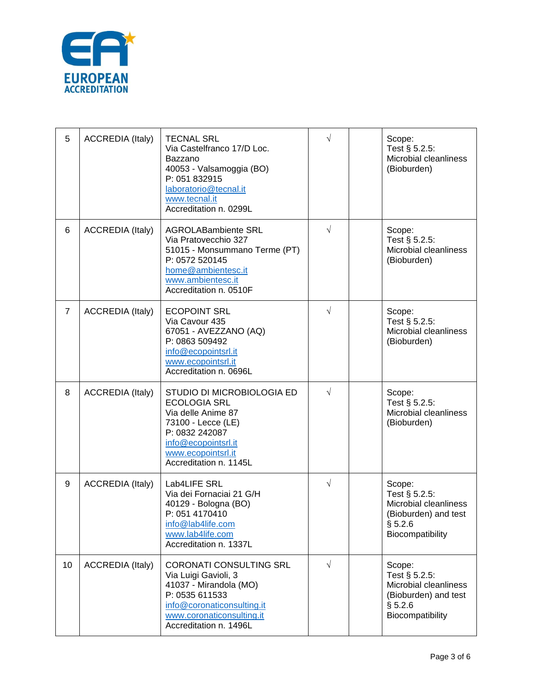

| 5              | <b>ACCREDIA (Italy)</b> | <b>TECNAL SRL</b><br>Via Castelfranco 17/D Loc.<br>Bazzano<br>40053 - Valsamoggia (BO)<br>P: 051 832915<br>laboratorio@tecnal.it<br>www.tecnal.it<br>Accreditation n. 0299L             | $\sqrt{}$  | Scope:<br>Test § 5.2.5:<br>Microbial cleanliness<br>(Bioburden)                                         |
|----------------|-------------------------|-----------------------------------------------------------------------------------------------------------------------------------------------------------------------------------------|------------|---------------------------------------------------------------------------------------------------------|
| 6              | <b>ACCREDIA (Italy)</b> | <b>AGROLABambiente SRL</b><br>Via Pratovecchio 327<br>51015 - Monsummano Terme (PT)<br>P: 0572 520145<br>home@ambientesc.it<br>www.ambientesc.it<br>Accreditation n. 0510F              | $\sqrt{}$  | Scope:<br>Test § 5.2.5:<br>Microbial cleanliness<br>(Bioburden)                                         |
| $\overline{7}$ | <b>ACCREDIA (Italy)</b> | <b>ECOPOINT SRL</b><br>Via Cavour 435<br>67051 - AVEZZANO (AQ)<br>P: 0863 509492<br>info@ecopointsrl.it<br>www.ecopointsrl.it<br>Accreditation n. 0696L                                 | $\sqrt{ }$ | Scope:<br>Test § 5.2.5:<br>Microbial cleanliness<br>(Bioburden)                                         |
| 8              | <b>ACCREDIA</b> (Italy) | STUDIO DI MICROBIOLOGIA ED<br><b>ECOLOGIA SRL</b><br>Via delle Anime 87<br>73100 - Lecce (LE)<br>P: 0832 242087<br>info@ecopointsrl.it<br>www.ecopointsrl.it<br>Accreditation n. 1145L  | $\sqrt{}$  | Scope:<br>Test § 5.2.5:<br>Microbial cleanliness<br>(Bioburden)                                         |
| 9              | <b>ACCREDIA (Italy)</b> | Lab4LIFE SRL<br>Via dei Fornaciai 21 G/H<br>40129 - Bologna (BO)<br>P: 051 4170410<br>info@lab4life.com<br>www.lab4life.com<br>Accreditation n. 1337L                                   | $\sqrt{}$  | Scope:<br>Test § 5.2.5:<br>Microbial cleanliness<br>(Bioburden) and test<br>§ 5.2.6<br>Biocompatibility |
| 10             | <b>ACCREDIA (Italy)</b> | <b>CORONATI CONSULTING SRL</b><br>Via Luigi Gavioli, 3<br>41037 - Mirandola (MO)<br>P: 0535 611533<br>info@coronaticonsulting.it<br>www.coronaticonsulting.it<br>Accreditation n. 1496L | $\sqrt{}$  | Scope:<br>Test § 5.2.5:<br>Microbial cleanliness<br>(Bioburden) and test<br>§ 5.2.6<br>Biocompatibility |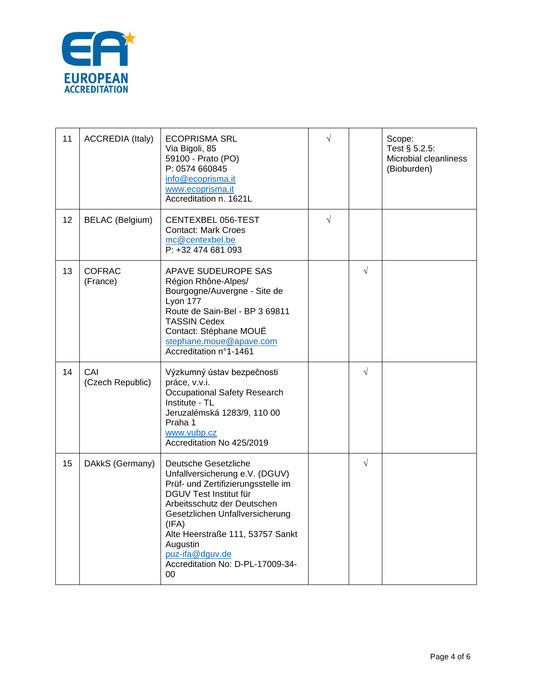

| 11 | <b>ACCREDIA (Italy)</b>   | <b>ECOPRISMA SRL</b><br>Via Bigoli, 85<br>59100 - Prato (PO)<br>P: 0574 660845<br>info@ecoprisma.it<br>www.ecoprisma.it<br>Accreditation n. 1621L                                                                                                                                                                  | $\sqrt{}$ |           | Scope:<br>Test § 5.2.5:<br>Microbial cleanliness<br>(Bioburden) |
|----|---------------------------|--------------------------------------------------------------------------------------------------------------------------------------------------------------------------------------------------------------------------------------------------------------------------------------------------------------------|-----------|-----------|-----------------------------------------------------------------|
| 12 | <b>BELAC</b> (Belgium)    | CENTEXBEL 056-TEST<br><b>Contact: Mark Croes</b><br>mc@centexbel.be<br>P: +32 474 681 093                                                                                                                                                                                                                          | $\sqrt{}$ |           |                                                                 |
| 13 | <b>COFRAC</b><br>(France) | APAVE SUDEUROPE SAS<br>Région Rhône-Alpes/<br>Bourgogne/Auvergne - Site de<br>Lyon 177<br>Route de Sain-Bel - BP 3 69811<br><b>TASSIN Cedex</b><br>Contact: Stéphane MOUË<br>stephane.moue@apave.com<br>Accreditation n°1-1461                                                                                     |           | $\sqrt{}$ |                                                                 |
| 14 | CAI<br>(Czech Republic)   | Výzkumný ústav bezpečnosti<br>práce, v.v.i.<br><b>Occupational Safety Research</b><br>Institute - TL<br>Jeruzalémská 1283/9, 110 00<br>Praha 1<br>www.vubp.cz<br>Accreditation No 425/2019                                                                                                                         |           | $\sqrt{}$ |                                                                 |
| 15 | DAkkS (Germany)           | Deutsche Gesetzliche<br>Unfallversicherung e.V. (DGUV)<br>Prüf- und Zertifizierungsstelle im<br>DGUV Test Institut für<br>Arbeitsschutz der Deutschen<br>Gesetzlichen Unfallversicherung<br>(IFA)<br>Alte Heerstraße 111, 53757 Sankt<br>Augustin<br>puz-ifa@dguv.de<br>Accreditation No: D-PL-17009-34-<br>$00\,$ |           | $\sqrt{}$ |                                                                 |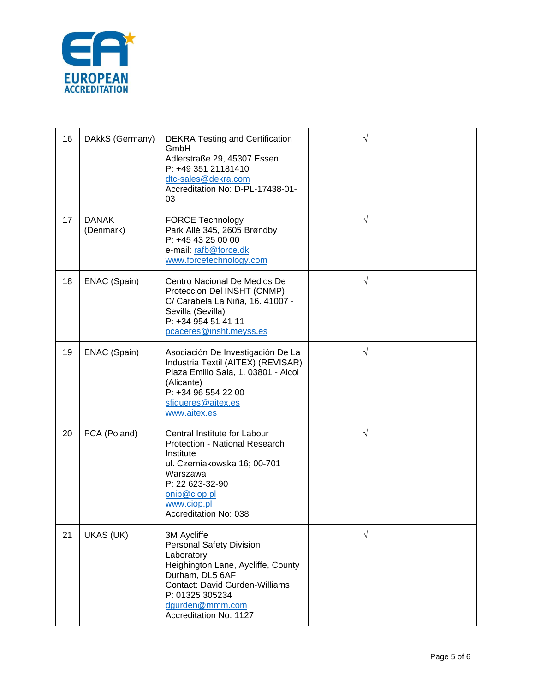

| 16 | DAkkS (Germany)           | <b>DEKRA Testing and Certification</b><br>GmbH<br>Adlerstraße 29, 45307 Essen<br>P: +49 351 21181410<br>dtc-sales@dekra.com<br>Accreditation No: D-PL-17438-01-<br>03                                                   | V          |  |
|----|---------------------------|-------------------------------------------------------------------------------------------------------------------------------------------------------------------------------------------------------------------------|------------|--|
| 17 | <b>DANAK</b><br>(Denmark) | <b>FORCE Technology</b><br>Park Allé 345, 2605 Brøndby<br>P: +45 43 25 00 00<br>e-mail: rafb@force.dk<br>www.forcetechnology.com                                                                                        | $\sqrt{}$  |  |
| 18 | ENAC (Spain)              | Centro Nacional De Medios De<br>Proteccion Del INSHT (CNMP)<br>C/ Carabela La Niña, 16. 41007 -<br>Sevilla (Sevilla)<br>P: +34 954 51 41 11<br>pcaceres@insht.meyss.es                                                  | $\sqrt{}$  |  |
| 19 | ENAC (Spain)              | Asociación De Investigación De La<br>Industria Textil (AITEX) (REVISAR)<br>Plaza Emilio Sala, 1. 03801 - Alcoi<br>(Alicante)<br>P: +34 96 554 22 00<br>sfigueres@aitex.es<br>www.aitex.es                               | $\sqrt{ }$ |  |
| 20 | PCA (Poland)              | Central Institute for Labour<br>Protection - National Research<br>Institute<br>ul. Czerniakowska 16; 00-701<br>Warszawa<br>P: 22 623-32-90<br>onip@ciop.pl<br>www.ciop.pl<br>Accreditation No: 038                      | $\sqrt{}$  |  |
| 21 | UKAS (UK)                 | 3M Aycliffe<br><b>Personal Safety Division</b><br>Laboratory<br>Heighington Lane, Aycliffe, County<br>Durham, DL5 6AF<br>Contact: David Gurden-Williams<br>P: 01325 305234<br>dgurden@mmm.com<br>Accreditation No: 1127 | $\sqrt{}$  |  |